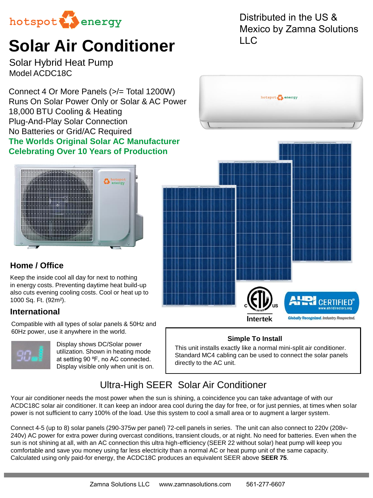

# **[Solar Air Conditioner](https://www.hotspotenergy.com/solar-air-conditioner/)**

Solar Hybrid Heat Pump Model ACDC18C

Connect 4 Or More Panels (>/= Total 1200W) Runs On Solar Power Only or Solar & AC Power 18,000 BTU Cooling & Heating Plug-And-Play Solar Connection No Batteries or Grid/AC Required **The Worlds Original Solar AC Manufacturer Celebrating Over 10 Years of Production** 



### **Home / Office**

Keep the inside cool all day for next to nothing in energy costs. Preventing daytime heat build-up also cuts evening cooling costs. Cool or heat up to 1000 Sq. Ft. (92m²).

#### **International**

Compatible with all types of solar panels & 50Hz and 60Hz power, use it anywhere in the world.



Display shows DC/Solar power utilization. Shown in heating mode at setting 90 °F, no AC connected. Display visible only when unit is on.



Distributed in the US &

LLC

Mexico by Zamna Solutions



#### **Simple To Install**

This unit installs exactly like a normal mini-split air conditioner. Standard MC4 cabling can be used to connect the solar panels directly to the AC unit.

## Ultra-High SEER Solar Air Conditioner

Your air conditioner needs the most power when the sun is shining, a coincidence you can take advantage of with our ACDC18C solar air conditioner. It can keep an indoor area cool during the day for free, or for just pennies, at times when solar power is not sufficient to carry 100% of the load. Use this system to cool a small area or to augment a larger system.

Connect 4-5 (up to 8) solar panels (290-375w per panel) 72-cell panels in series. The unit can also connect to 220v (208v-240v) AC power for extra power during overcast conditions, transient clouds, or at night. No need for batteries. Even when the sun is not shining at all, with an AC connection this ultra high-efficiency (SEER 22 without solar) heat pump will keep you comfortable and save you money using far less electricity than a normal AC or heat pump unit of the same capacity. Calculated using only paid-for energy, the ACDC18C produces an equivalent SEER above **SEER 75**.